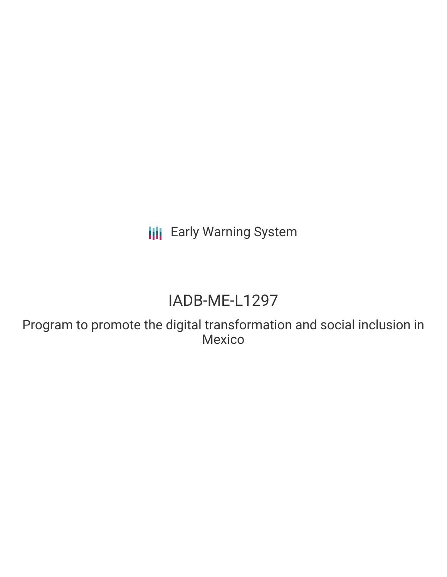**III** Early Warning System

# IADB-ME-L1297

Program to promote the digital transformation and social inclusion in Mexico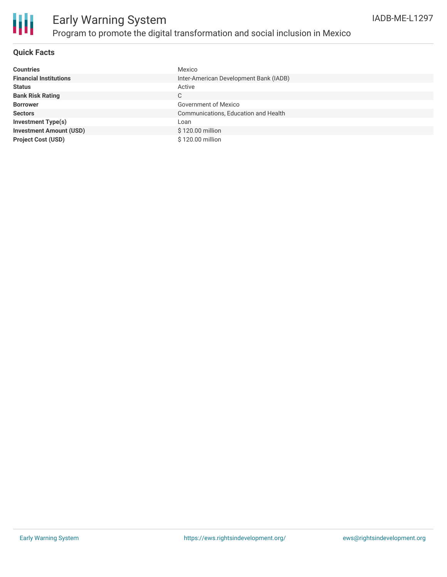

#### **Quick Facts**

| <b>Countries</b>               | Mexico                                 |
|--------------------------------|----------------------------------------|
| <b>Financial Institutions</b>  | Inter-American Development Bank (IADB) |
| <b>Status</b>                  | Active                                 |
| <b>Bank Risk Rating</b>        | С                                      |
| <b>Borrower</b>                | Government of Mexico                   |
| <b>Sectors</b>                 | Communications, Education and Health   |
| <b>Investment Type(s)</b>      | Loan                                   |
| <b>Investment Amount (USD)</b> | \$120.00 million                       |
| <b>Project Cost (USD)</b>      | \$120.00 million                       |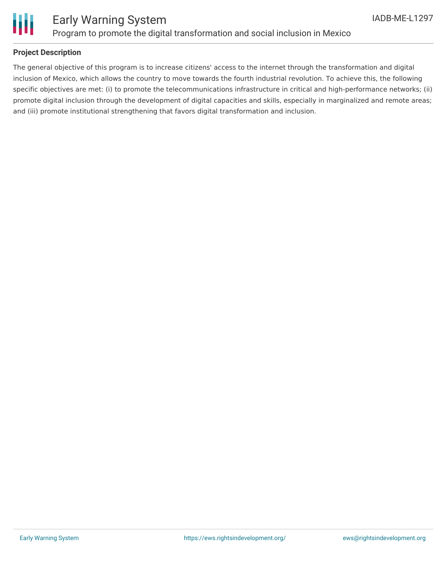

#### **Project Description**

The general objective of this program is to increase citizens' access to the internet through the transformation and digital inclusion of Mexico, which allows the country to move towards the fourth industrial revolution. To achieve this, the following specific objectives are met: (i) to promote the telecommunications infrastructure in critical and high-performance networks; (ii) promote digital inclusion through the development of digital capacities and skills, especially in marginalized and remote areas; and (iii) promote institutional strengthening that favors digital transformation and inclusion.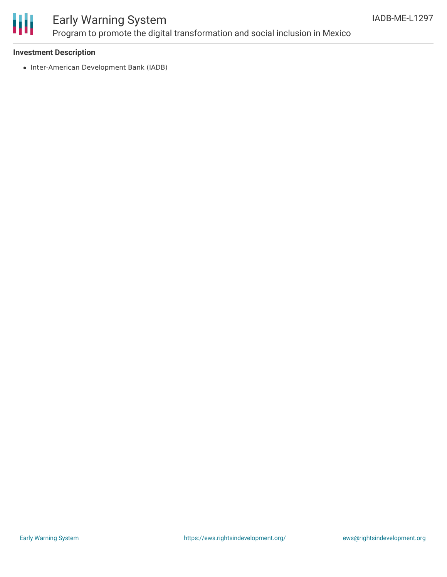

#### **Investment Description**

• Inter-American Development Bank (IADB)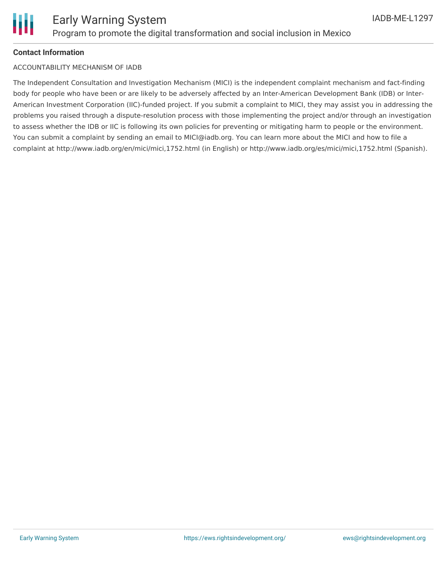

#### **Contact Information**

#### ACCOUNTABILITY MECHANISM OF IADB

The Independent Consultation and Investigation Mechanism (MICI) is the independent complaint mechanism and fact-finding body for people who have been or are likely to be adversely affected by an Inter-American Development Bank (IDB) or Inter-American Investment Corporation (IIC)-funded project. If you submit a complaint to MICI, they may assist you in addressing the problems you raised through a dispute-resolution process with those implementing the project and/or through an investigation to assess whether the IDB or IIC is following its own policies for preventing or mitigating harm to people or the environment. You can submit a complaint by sending an email to MICI@iadb.org. You can learn more about the MICI and how to file a complaint at http://www.iadb.org/en/mici/mici,1752.html (in English) or http://www.iadb.org/es/mici/mici,1752.html (Spanish).